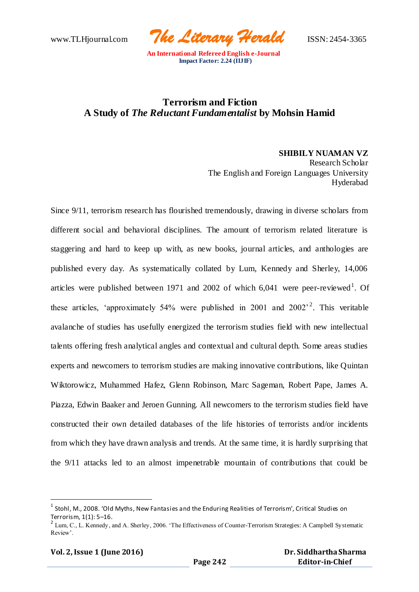www.TLHjournal.com *The Literary Herald*ISSN: 2454-3365

# **Terrorism and Fiction A Study of** *The Reluctant Fundamentalist* **by Mohsin Hamid**

**SHIBILY NUAMAN VZ** Research Scholar The English and Foreign Languages University Hyderabad

Since 9/11, terrorism research has flourished tremendously, drawing in diverse scholars from different social and behavioral disciplines. The amount of terrorism related literature is staggering and hard to keep up with, as new books, journal articles, and anthologies are published every day. As systematically collated by Lum, Kennedy and Sherley, 14,006 articles were published between 1971 and 2002 of which  $6,041$  were peer-reviewed<sup>1</sup>. Of these articles, 'approximately 54% were published in 2001 and  $2002^2$ . This veritable avalanche of studies has usefully energized the terrorism studies field with new intellectual talents offering fresh analytical angles and contextual and cultural depth. Some areas studies experts and newcomers to terrorism studies are making innovative contributions, like Quintan Wiktorowicz, Muhammed Hafez, Glenn Robinson, Marc Sageman, Robert Pape, James A. Piazza, Edwin Baaker and Jeroen Gunning. All newcomers to the terrorism studies field have constructed their own detailed databases of the life histories of terrorists and/or incidents from which they have drawn analysis and trends. At the same time, it is hardly surprising that the 9/11 attacks led to an almost impenetrable mountain of contributions that could be

 $^1$  Stohl, M., 2008. 'Old Myths, New Fantasies and the Enduring Realities of Terrorism', Critical Studies on Terrorism, 1(1): 5–16.

 $2$  Lum, C., L. Kennedy, and A. Sherley, 2006. 'The Effectiveness of Counter-Terrorism Strategies: A Campbell Systematic Review'.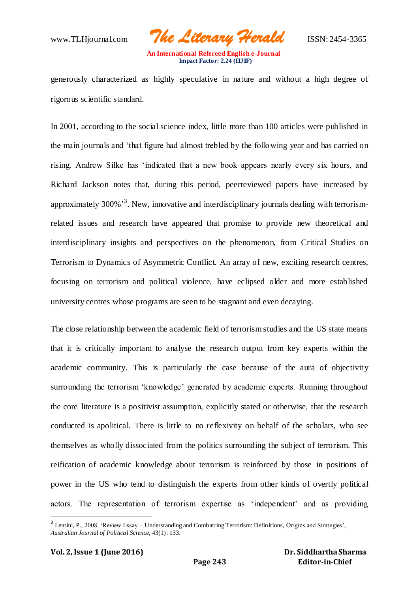www.TLHjournal.com *The Literary Herald*ISSN: 2454-3365

generously characterized as highly speculative in nature and without a high degree of rigorous scientific standard.

In 2001, according to the social science index, little more than 100 articles were published in the main journals and 'that figure had almost trebled by the following year and has carried on rising. Andrew Silke has 'indicated that a new book appears nearly every six hours, and Richard Jackson notes that, during this period, peerreviewed papers have increased by approximately 300%<sup>3</sup>. New, innovative and interdisciplinary journals dealing with terrorismrelated issues and research have appeared that promise to provide new theoretical and interdisciplinary insights and perspectives on the phenomenon, from Critical Studies on Terrorism to Dynamics of Asymmetric Conflict. An array of new, exciting research centres, focusing on terrorism and political violence, have eclipsed older and more established university centres whose programs are seen to be stagnant and even decaying.

The close relationship between the academic field of terrorism studies and the US state means that it is critically important to analyse the research output from key experts within the academic community. This is particularly the case because of the aura of objectivity surrounding the terrorism 'knowledge' generated by academic experts. Running throughout the core literature is a positivist assumption, explicitly stated or otherwise, that the research conducted is apolitical. There is little to no reflexivity on behalf of the scholars, who see themselves as wholly dissociated from the politics surrounding the subject of terrorism. This reification of academic knowledge about terrorism is reinforced by those in positions of power in the US who tend to distinguish the experts from other kinds of overtly political actors. The representation of terrorism expertise as 'independent' and as providing

 $3$  Lentini, P., 2008. 'Review Essay – Understanding and Combatting Terrorism: Definitions, Origins and Strategies', *Australian Journal of Political Science*, 43(1): 133.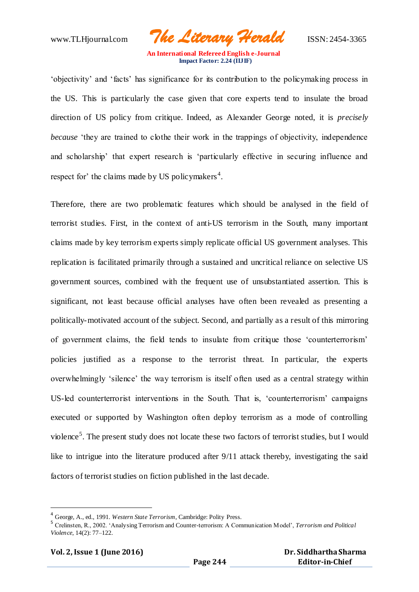www.TLHjournal.com *The Literary Herald*ISSN: 2454-3365

'objectivity' and 'facts' has significance for its contribution to the policymaking process in the US. This is particularly the case given that core experts tend to insulate the broad direction of US policy from critique. Indeed, as Alexander George noted, it is *precisely because* 'they are trained to clothe their work in the trappings of objectivity, independence and scholarship' that expert research is 'particularly effective in securing influence and respect for' the claims made by US policymakers<sup>4</sup>.

Therefore, there are two problematic features which should be analysed in the field of terrorist studies. First, in the context of anti-US terrorism in the South, many important claims made by key terrorism experts simply replicate official US government analyses. This replication is facilitated primarily through a sustained and uncritical reliance on selective US government sources, combined with the frequent use of unsubstantiated assertion. This is significant, not least because official analyses have often been revealed as presenting a politically-motivated account of the subject. Second, and partially as a result of this mirroring of government claims, the field tends to insulate from critique those 'counterterrorism' policies justified as a response to the terrorist threat. In particular, the experts overwhelmingly 'silence' the way terrorism is itself often used as a central strategy within US-led counterterrorist interventions in the South. That is, 'counterterrorism' campaigns executed or supported by Washington often deploy terrorism as a mode of controlling violence<sup>5</sup>. The present study does not locate these two factors of terrorist studies, but I would like to intrigue into the literature produced after 9/11 attack thereby, investigating the said factors of terrorist studies on fiction published in the last decade.

<sup>4</sup> George, A., ed., 1991. *Western State Terrorism*, Cambridge: Polity Press.

<sup>5</sup> Crelinsten, R., 2002. 'Analysing Terrorism and Counter-terrorism: A Communication Model', *Terrorism and Political Violence*, 14(2): 77–122.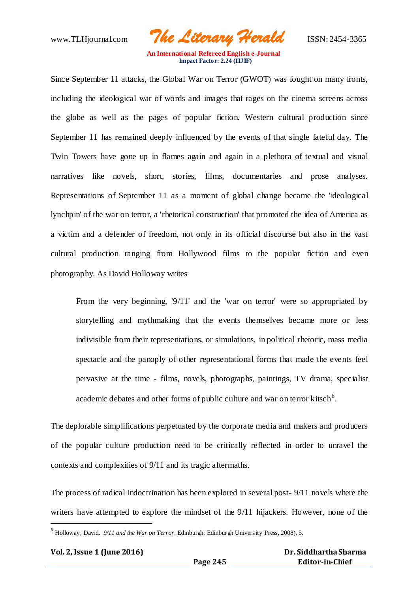www.TLHjournal.com *The Literary Herald*ISSN: 2454-3365

Since September 11 attacks, the Global War on Terror (GWOT) was fought on many fronts, including the ideological war of words and images that rages on the cinema screens across the globe as well as the pages of popular fiction. Western cultural production since September 11 has remained deeply influenced by the events of that single fateful day. The Twin Towers have gone up in flames again and again in a plethora of textual and visual narratives like novels, short, stories, films, documentaries and prose analyses. Representations of September 11 as a moment of global change became the 'ideological lynchpin' of the war on terror, a 'rhetorical construction' that promoted the idea of America as a victim and a defender of freedom, not only in its official discourse but also in the vast cultural production ranging from Hollywood films to the popular fiction and even photography. As David Holloway writes

From the very beginning, '9/11' and the 'war on terror' were so appropriated by storytelling and mythmaking that the events themselves became more or less indivisible from their representations, or simulations, in political rhetoric, mass media spectacle and the panoply of other representational forms that made the events feel pervasive at the time - films, novels, photographs, paintings, TV drama, specialist academic debates and other forms of public culture and war on terror kitsch<sup>6</sup>.

The deplorable simplifications perpetuated by the corporate media and makers and producers of the popular culture production need to be critically reflected in order to unravel the contexts and complexities of 9/11 and its tragic aftermaths.

The process of radical indoctrination has been explored in several post- 9/11 novels where the writers have attempted to explore the mindset of the 9/11 hijackers. However, none of the

<sup>6</sup> Holloway, David. *9/11 and the War on Terror*. Edinburgh: Edinburgh University Press, 2008), 5.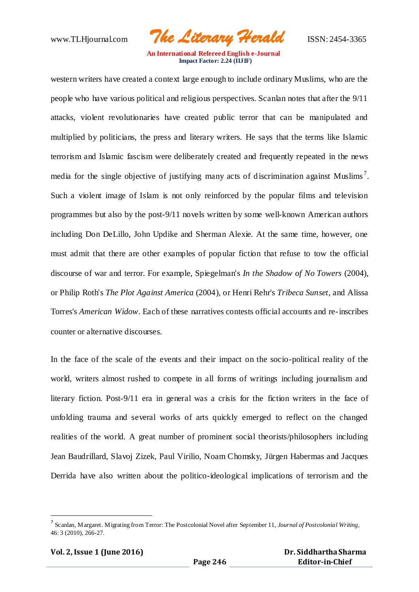www.TLHjournal.com *The Literary Herald*ISSN: 2454-3365

western writers have created a context large enough to include ordinary Muslims, who are the people who have various political and religious perspectives. Scanlan notes that after the 9/11 attacks, violent revolutionaries have created public terror that can be manipulated and multiplied by politicians, the press and literary writers. He says that the terms like Islamic terrorism and Islamic fascism were deliberately created and frequently repeated in the news media for the single objective of justifying many acts of discrimination against Muslims<sup>7</sup>. Such a violent image of Islam is not only reinforced by the popular films and television programmes but also by the post-9/11 novels written by some well-known American authors including Don DeLillo, John Updike and Sherman Alexie. At the same time, however, one must admit that there are other examples of popular fiction that refuse to tow the official discourse of war and terror. For example, Spiegelman's *In the Shadow of No Towers* (2004), or Philip Roth's *The Plot Against America* (2004), or Henri Rehr's *Tribeca Sunset*, and Alissa Torres's *American Widow*. Each of these narratives contests official accounts and re-inscribes counter or alternative discourses.

In the face of the scale of the events and their impact on the socio-political reality of the world, writers almost rushed to compete in all forms of writings including journalism and literary fiction. Post-9/11 era in general was a crisis for the fiction writers in the face of unfolding trauma and several works of arts quickly emerged to reflect on the changed realities of the world. A great number of prominent social theorists/philosophers including Jean Baudrillard, Slavoj Zizek, Paul Virilio, Noam Chomsky, Jürgen Habermas and Jacques Derrida have also written about the politico-ideological implications of terrorism and the

<sup>7</sup> Scanlan, Margaret. Migrating from Terror: The Postcolonial Novel after September 11, *Journal of Postcolonial Writing*, 46: 3 (2010), 266-27.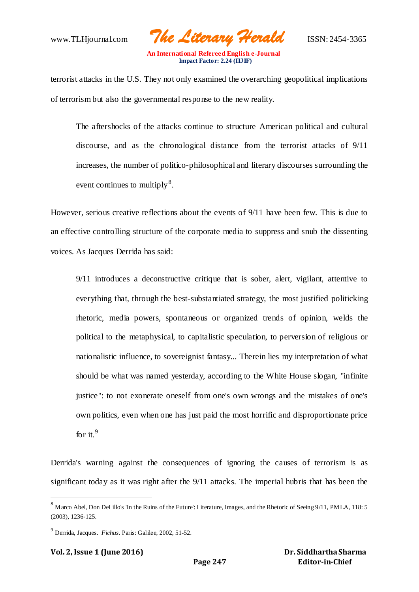www.TLHjournal.com *The Literary Herald*ISSN: 2454-3365

terrorist attacks in the U.S. They not only examined the overarching geopolitical implications of terrorism but also the governmental response to the new reality.

The aftershocks of the attacks continue to structure American political and cultural discourse, and as the chronological distance from the terrorist attacks of 9/11 increases, the number of politico-philosophical and literary discourses surrounding the event continues to multiply<sup>8</sup>.

However, serious creative reflections about the events of 9/11 have been few. This is due to an effective controlling structure of the corporate media to suppress and snub the dissenting voices. As Jacques Derrida has said:

9/11 introduces a deconstructive critique that is sober, alert, vigilant, attentive to everything that, through the best-substantiated strategy, the most justified politicking rhetoric, media powers, spontaneous or organized trends of opinion, welds the political to the metaphysical, to capitalistic speculation, to perversion of religious or nationalistic influence, to sovereignist fantasy... Therein lies my interpretation of what should be what was named yesterday, according to the White House slogan, "infinite justice": to not exonerate oneself from one's own wrongs and the mistakes of one's own politics, even when one has just paid the most horrific and disproportionate price for it. $9$ 

Derrida's warning against the consequences of ignoring the causes of terrorism is as significant today as it was right after the 9/11 attacks. The imperial hubris that has been the

<sup>8</sup> Marco Abel, Don DeLillo's 'In the Ruins of the Future': Literature, Images, and the Rhetoric of Seeing 9/11, PMLA, 118: 5 (2003), 1236-125.

<sup>9</sup> Derrida, Jacques. *Fichus.* Paris: Galilee, 2002, 51-52.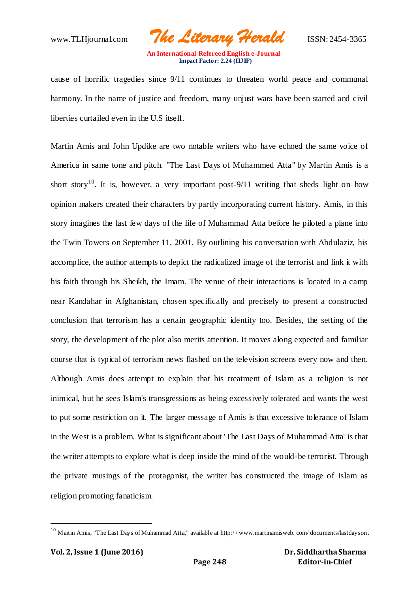www.TLHjournal.com *The Literary Herald*ISSN: 2454-3365

cause of horrific tragedies since 9/11 continues to threaten world peace and communal harmony. In the name of justice and freedom, many unjust wars have been started and civil liberties curtailed even in the U.S itself.

Martin Amis and John Updike are two notable writers who have echoed the same voice of America in same tone and pitch. "The Last Days of Muhammed Atta" by Martin Amis is a short story<sup>10</sup>. It is, however, a very important post-9/11 writing that sheds light on how opinion makers created their characters by partly incorporating current history. Amis, in this story imagines the last few days of the life of Muhammad Atta before he piloted a plane into the Twin Towers on September 11, 2001. By outlining his conversation with Abdulaziz, his accomplice, the author attempts to depict the radicalized image of the terrorist and link it with his faith through his Sheikh, the Imam. The venue of their interactions is located in a camp near Kandahar in Afghanistan, chosen specifically and precisely to present a constructed conclusion that terrorism has a certain geographic identity too. Besides, the setting of the story, the development of the plot also merits attention. It moves along expected and familiar course that is typical of terrorism news flashed on the television screens every now and then. Although Amis does attempt to explain that his treatment of Islam as a religion is not inimical, but he sees Islam's transgressions as being excessively tolerated and wants the west to put some restriction on it. The larger message of Amis is that excessive tolerance of Islam in the West is a problem. What is significant about 'The Last Days of Muhammad Atta' is that the writer attempts to explore what is deep inside the mind of the would-be terrorist. Through the private musings of the protagonist, the writer has constructed the image of Islam as religion promoting fanaticism.

 $10$  Martin Amis, "The Last Days of Muhammad Atta," available at http://www.martinamisweb.com/documents/lastdayson.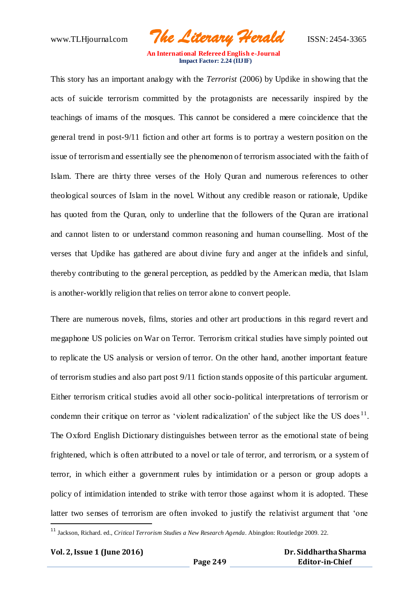www.TLHjournal.com *The Literary Herald*ISSN: 2454-3365

This story has an important analogy with the *Terrorist* (2006) by Updike in showing that the acts of suicide terrorism committed by the protagonists are necessarily inspired by the teachings of imams of the mosques. This cannot be considered a mere coincidence that the general trend in post-9/11 fiction and other art forms is to portray a western position on the issue of terrorism and essentially see the phenomenon of terrorism associated with the faith of Islam. There are thirty three verses of the Holy Quran and numerous references to other theological sources of Islam in the novel. Without any credible reason or rationale, Updike has quoted from the Quran, only to underline that the followers of the Quran are irrational and cannot listen to or understand common reasoning and human counselling. Most of the verses that Updike has gathered are about divine fury and anger at the infidels and sinful, thereby contributing to the general perception, as peddled by the American media, that Islam is another-worldly religion that relies on terror alone to convert people.

There are numerous novels, films, stories and other art productions in this regard revert and megaphone US policies on War on Terror. Terrorism critical studies have simply pointed out to replicate the US analysis or version of terror. On the other hand, another important feature of terrorism studies and also part post 9/11 fiction stands opposite of this particular argument. Either terrorism critical studies avoid all other socio-political interpretations of terrorism or condemn their critique on terror as 'violent radicalization' of the subject like the US does<sup>11</sup>. The Oxford English Dictionary distinguishes between terror as the emotional state of being frightened, which is often attributed to a novel or tale of terror, and terrorism, or a system of terror, in which either a government rules by intimidation or a person or group adopts a policy of intimidation intended to strike with terror those against whom it is adopted. These latter two senses of terrorism are often invoked to justify the relativist argument that 'one

<sup>11</sup> Jackson, Richard. ed., *Critical Terrorism Studies a New Research Agenda*. Abingdon: Routledge 2009. 22.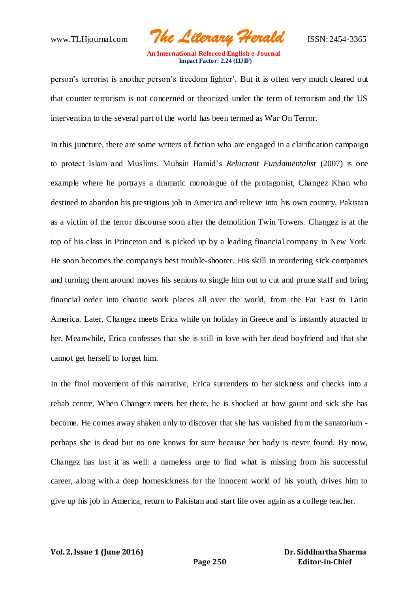www.TLHjournal.com *The Literary Herald*ISSN: 2454-3365

person's terrorist is another person's freedom fighter'. But it is often very much cleared out that counter terrorism is not concerned or theorized under the term of terrorism and the US intervention to the several part of the world has been termed as War On Terror.

In this juncture, there are some writers of fiction who are engaged in a clarification campaign to protect Islam and Muslims. Muhsin Hamid's *Reluctant Fundamentalist* (2007) is one example where he portrays a dramatic monologue of the protagonist, Changez Khan who destined to abandon his prestigious job in America and relieve into his own country, Pakistan as a victim of the terror discourse soon after the demolition Twin Towers. Changez is at the top of his class in Princeton and is picked up by a leading financial company in New York. He soon becomes the company's best trouble-shooter. His skill in reordering sick companies and turning them around moves his seniors to single him out to cut and prune staff and bring financial order into chaotic work places all over the world, from the Far East to Latin America. Later, Changez meets Erica while on holiday in Greece and is instantly attracted to her. Meanwhile, Erica confesses that she is still in love with her dead boyfriend and that she cannot get herself to forget him.

In the final movement of this narrative, Erica surrenders to her sickness and checks into a rehab centre. When Changez meets her there, he is shocked at how gaunt and sick she has become. He comes away shaken only to discover that she has vanished from the sanatorium perhaps she is dead but no one knows for sure because her body is never found. By now, Changez has lost it as well: a nameless urge to find what is missing from his successful career, along with a deep homesickness for the innocent world of his youth, drives him to give up his job in America, return to Pakistan and start life over again as a college teacher.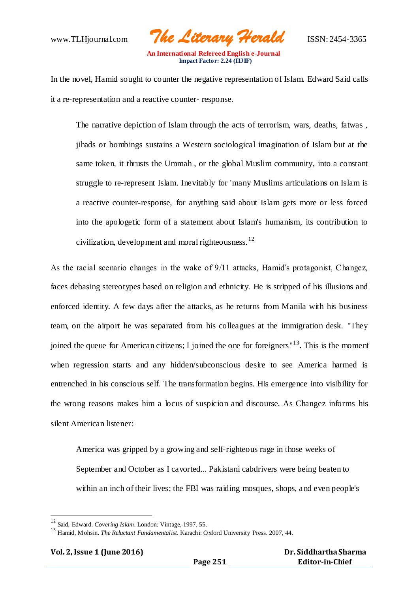www.TLHjournal.com *The Literary Herald*ISSN: 2454-3365

In the novel, Hamid sought to counter the negative representation of Islam. Edward Said calls it a re-representation and a reactive counter- response.

The narrative depiction of Islam through the acts of terrorism, wars, deaths, fatwas , jihads or bombings sustains a Western sociological imagination of Islam but at the same token, it thrusts the Ummah , or the global Muslim community, into a constant struggle to re-represent Islam. Inevitably for 'many Muslims articulations on Islam is a reactive counter-response, for anything said about Islam gets more or less forced into the apologetic form of a statement about Islam's humanism, its contribution to civilization, development and moral righteousness.  $^{12}$ 

As the racial scenario changes in the wake of 9/11 attacks, Hamid's protagonist, Changez, faces debasing stereotypes based on religion and ethnicity. He is stripped of his illusions and enforced identity. A few days after the attacks, as he returns from Manila with his business team, on the airport he was separated from his colleagues at the immigration desk. "They joined the queue for American citizens; I joined the one for foreigners<sup>"13</sup>. This is the moment when regression starts and any hidden/subconscious desire to see America harmed is entrenched in his conscious self. The transformation begins. His emergence into visibility for the wrong reasons makes him a locus of suspicion and discourse. As Changez informs his silent American listener:

America was gripped by a growing and self-righteous rage in those weeks of September and October as I cavorted... Pakistani cabdrivers were being beaten to within an inch of their lives; the FBI was raiding mosques, shops, and even people's

| Vol. 2, Issue 1 (June 2016) |  |
|-----------------------------|--|
|                             |  |

<sup>12</sup> Said, Edward. *Covering Islam*. London: Vintage, 1997, 55.

<sup>13</sup> Hamid, Mohsin. *The Reluctant Fundamentalist*. Karachi: Oxford University Press. 2007, 44.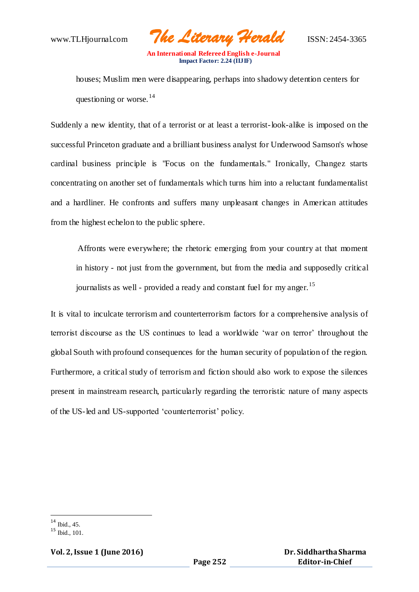www.TLHjournal.com *The Literary Herald*ISSN: 2454-3365

houses; Muslim men were disappearing, perhaps into shadowy detention centers for questioning or worse.  $14$ 

Suddenly a new identity, that of a terrorist or at least a terrorist-look-alike is imposed on the successful Princeton graduate and a brilliant business analyst for Underwood Samson's whose cardinal business principle is "Focus on the fundamentals." Ironically, Changez starts concentrating on another set of fundamentals which turns him into a reluctant fundamentalist and a hardliner. He confronts and suffers many unpleasant changes in American attitudes from the highest echelon to the public sphere.

Affronts were everywhere; the rhetoric emerging from your country at that moment in history - not just from the government, but from the media and supposedly critical journalists as well - provided a ready and constant fuel for my anger.<sup>15</sup>

It is vital to inculcate terrorism and counterterrorism factors for a comprehensive analysis of terrorist discourse as the US continues to lead a worldwide 'war on terror' throughout the global South with profound consequences for the human security of population of the region. Furthermore, a critical study of terrorism and fiction should also work to expose the silences present in mainstream research, particularly regarding the terroristic nature of many aspects of the US-led and US-supported 'counterterrorist' policy.

**Vol. 2, Issue 1 (June 2016)**

 $14$  Ibid., 45.

 $15$  Ibid., 101.